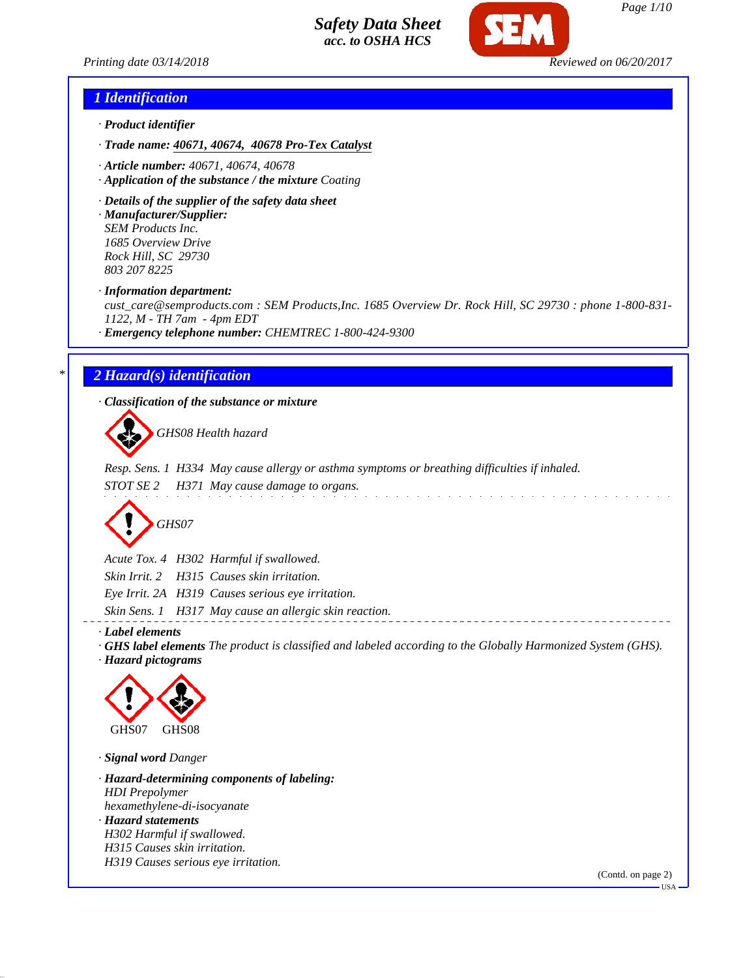

## *1 Identification*

- *· Product identifier*
- *· Trade name: 40671, 40674, 40678 Pro-Tex Catalyst*
- *· Article number: 40671, 40674, 40678*
- *· Application of the substance / the mixture Coating*
- *· Details of the supplier of the safety data sheet*

*· Manufacturer/Supplier: SEM Products Inc. 1685 Overview Drive Rock Hill, SC 29730 803 207 8225*

*· Information department:*

*cust\_care@semproducts.com : SEM Products,Inc. 1685 Overview Dr. Rock Hill, SC 29730 : phone 1-800-831- 1122, M - TH 7am - 4pm EDT*

*· Emergency telephone number: CHEMTREC 1-800-424-9300*

## *\* 2 Hazard(s) identification*

*· Classification of the substance or mixture*

*GHS08 Health hazard*

*Resp. Sens. 1 H334 May cause allergy or asthma symptoms or breathing difficulties if inhaled.*

*STOT SE 2 H371 May cause damage to organs.*

*GHS07*

*Acute Tox. 4 H302 Harmful if swallowed. Skin Irrit. 2 H315 Causes skin irritation. Eye Irrit. 2A H319 Causes serious eye irritation.*

*Skin Sens. 1 H317 May cause an allergic skin reaction.*

*· Label elements*

- *· GHS label elements The product is classified and labeled according to the Globally Harmonized System (GHS).*
- *· Hazard pictograms*



*· Signal word Danger*

*· Hazard-determining components of labeling: HDI Prepolymer hexamethylene-di-isocyanate · Hazard statements H302 Harmful if swallowed. H315 Causes skin irritation. H319 Causes serious eye irritation.*

(Contd. on page 2)

USA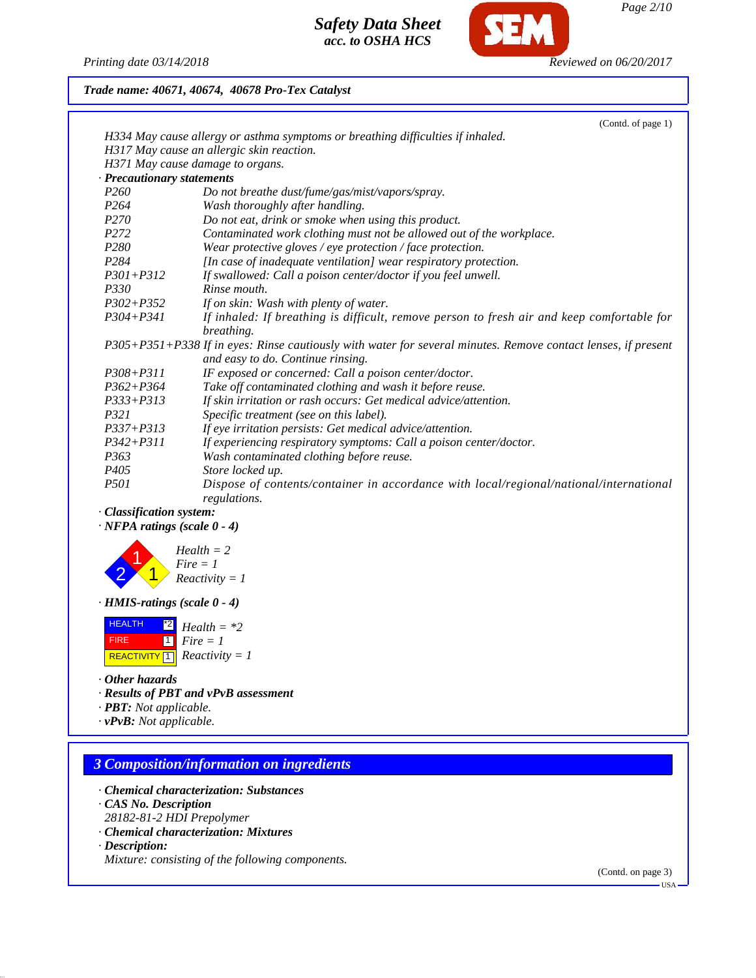*Printing date 03/14/2018 Reviewed on 06/20/2017*

## *Trade name: 40671, 40674, 40678 Pro-Tex Catalyst*

|                                 | (Contd. of page 1)                                                                                                                                 |
|---------------------------------|----------------------------------------------------------------------------------------------------------------------------------------------------|
|                                 | H334 May cause allergy or asthma symptoms or breathing difficulties if inhaled.                                                                    |
|                                 | H317 May cause an allergic skin reaction.                                                                                                          |
|                                 | H371 May cause damage to organs.                                                                                                                   |
| <b>Precautionary statements</b> |                                                                                                                                                    |
| <i>P260</i>                     | Do not breathe dust/fume/gas/mist/vapors/spray.                                                                                                    |
| P <sub>264</sub>                | Wash thoroughly after handling.                                                                                                                    |
| P <sub>270</sub>                | Do not eat, drink or smoke when using this product.                                                                                                |
| P <sub>272</sub>                | Contaminated work clothing must not be allowed out of the workplace.                                                                               |
| P <sub>280</sub>                | Wear protective gloves / eye protection / face protection.                                                                                         |
| P <sub>284</sub>                | [In case of inadequate ventilation] wear respiratory protection.                                                                                   |
| $P301 + P312$                   | If swallowed: Call a poison center/doctor if you feel unwell.                                                                                      |
| <i>P330</i>                     | Rinse mouth.                                                                                                                                       |
| $P302 + P352$                   | If on skin: Wash with plenty of water.                                                                                                             |
| $P304 + P341$                   | If inhaled: If breathing is difficult, remove person to fresh air and keep comfortable for<br>breathing.                                           |
|                                 | P305+P351+P338 If in eyes: Rinse cautiously with water for several minutes. Remove contact lenses, if present<br>and easy to do. Continue rinsing. |
| $P308 + P311$                   | IF exposed or concerned: Call a poison center/doctor.                                                                                              |
| $P362 + P364$                   | Take off contaminated clothing and wash it before reuse.                                                                                           |
| $P333 + P313$                   | If skin irritation or rash occurs: Get medical advice/attention.                                                                                   |
| <i>P321</i>                     | Specific treatment (see on this label).                                                                                                            |
| $P337 + P313$                   | If eye irritation persists: Get medical advice/attention.                                                                                          |
| $P342 + P311$                   | If experiencing respiratory symptoms: Call a poison center/doctor.                                                                                 |
| P <sub>363</sub>                | Wash contaminated clothing before reuse.                                                                                                           |
| P <sub>405</sub>                | Store locked up.                                                                                                                                   |
| <i>P501</i>                     | Dispose of contents/container in accordance with local/regional/national/international<br>regulations.                                             |
| <b>Classification system:</b>   |                                                                                                                                                    |

*· NFPA ratings (scale 0 - 4)*



*· HMIS-ratings (scale 0 - 4)*

| <b>HEALTH</b> | $\frac{1}{2}$ Health = *2   |
|---------------|-----------------------------|
| <b>FIRE</b>   | 1   $Fire = 1$              |
|               | REACTIVITY 1 Reactivity = 1 |

- *· Other hazards*
- *· Results of PBT and vPvB assessment*
- *· PBT: Not applicable.*

*· vPvB: Not applicable.*

## *3 Composition/information on ingredients*

- *· Chemical characterization: Substances*
- *· CAS No. Description*
- *28182-81-2 HDI Prepolymer*
- *· Chemical characterization: Mixtures*
- *· Description:*
- *Mixture: consisting of the following components.*

(Contd. on page 3)

USA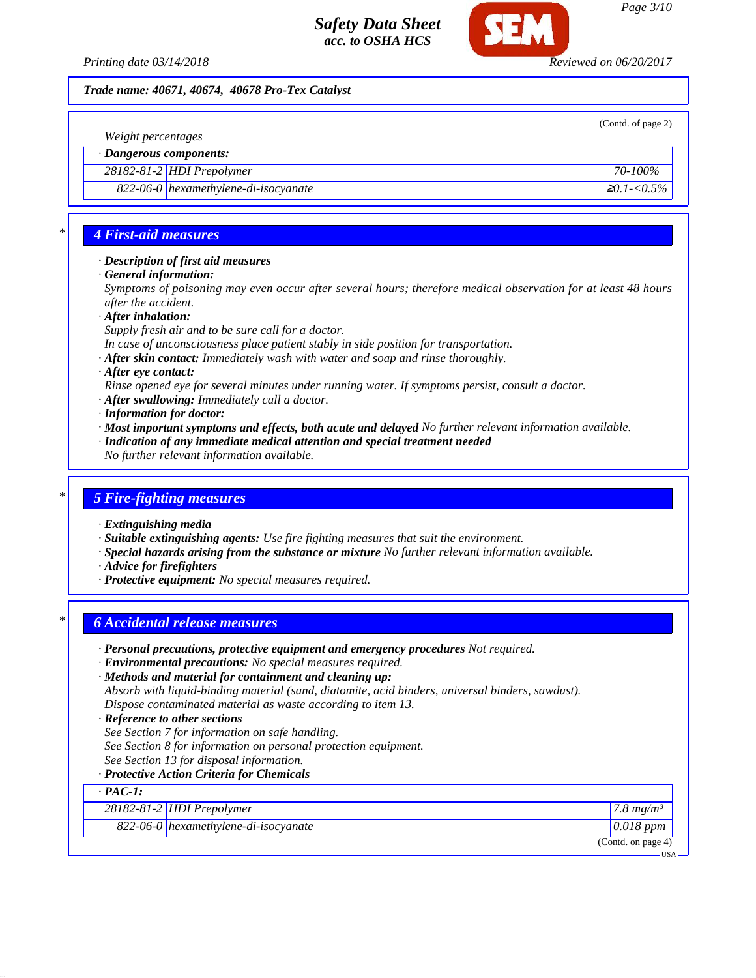

### *Trade name: 40671, 40674, 40678 Pro-Tex Catalyst*

| (Contd. of page 2)<br>Weight percentages |                                      |                    |
|------------------------------------------|--------------------------------------|--------------------|
| · Dangerous components:                  |                                      |                    |
|                                          | 28182-81-2 HDI Prepolymer            | 70-100%            |
|                                          | 822-06-0 hexamethylene-di-isocyanate | $\geq 0.1 - 0.5\%$ |
|                                          |                                      |                    |

## *\* 4 First-aid measures*

### *· Description of first aid measures*

*· General information:*

*Symptoms of poisoning may even occur after several hours; therefore medical observation for at least 48 hours after the accident.*

*· After inhalation:*

*Supply fresh air and to be sure call for a doctor.*

- *In case of unconsciousness place patient stably in side position for transportation.*
- *· After skin contact: Immediately wash with water and soap and rinse thoroughly.*
- *· After eye contact:*
- *Rinse opened eye for several minutes under running water. If symptoms persist, consult a doctor.*
- *· After swallowing: Immediately call a doctor.*
- *· Information for doctor:*
- *· Most important symptoms and effects, both acute and delayed No further relevant information available.*
- *· Indication of any immediate medical attention and special treatment needed*
- *No further relevant information available.*

### *\* 5 Fire-fighting measures*

- *· Extinguishing media*
- *· Suitable extinguishing agents: Use fire fighting measures that suit the environment.*
- *· Special hazards arising from the substance or mixture No further relevant information available.*
- *· Advice for firefighters*
- *· Protective equipment: No special measures required.*

## *\* 6 Accidental release measures*

- *· Personal precautions, protective equipment and emergency procedures Not required.*
- *· Environmental precautions: No special measures required.*
- *· Methods and material for containment and cleaning up: Absorb with liquid-binding material (sand, diatomite, acid binders, universal binders, sawdust). Dispose contaminated material as waste according to item 13.*
- *· Reference to other sections*
- *See Section 7 for information on safe handling.*
- *See Section 8 for information on personal protection equipment.*
- *See Section 13 for disposal information.*
- *· Protective Action Criteria for Chemicals*

|                | Trolecuve Action Crueria for Chemicals |                                   |
|----------------|----------------------------------------|-----------------------------------|
| $\cdot$ PAC-1: |                                        |                                   |
|                | $28182 - 81 - 2$ HDI Prepolymer        | $\frac{7.8}{m}$ mg/m <sup>3</sup> |
|                | 822-06-0 hexamethylene-di-isocyanate   | $0.018$ ppm                       |
|                |                                        | (Contd. on page 4)                |
|                |                                        | <b>USA</b>                        |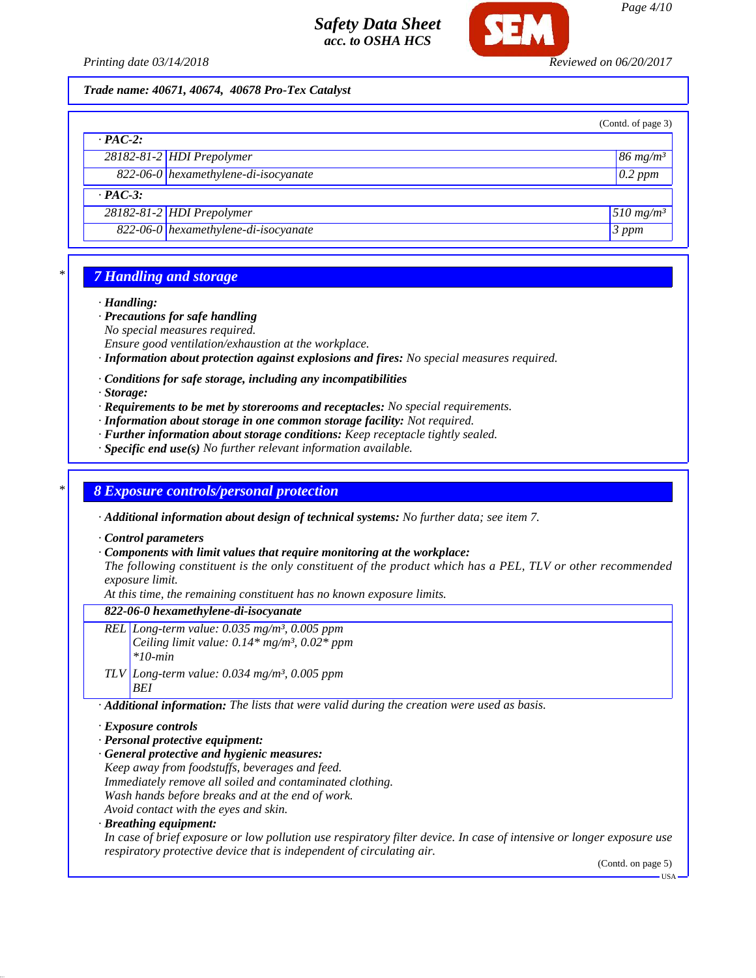

### *Trade name: 40671, 40674, 40678 Pro-Tex Catalyst*

|                |                                      | (Contd. of page 3)      |
|----------------|--------------------------------------|-------------------------|
| $\cdot$ PAC-2: |                                      |                         |
|                | $28182 - 81 - 2$ HDI Prepolymer      | $86$ mg/m <sup>3</sup>  |
|                | 822-06-0 hexamethylene-di-isocyanate | $0.2$ ppm               |
| $\cdot$ PAC-3: |                                      |                         |
|                | $28182 - 81 - 2$ HDI Prepolymer      | $510$ mg/m <sup>3</sup> |
|                | 822-06-0 hexamethylene-di-isocyanate | 3 ppm                   |

## *\* 7 Handling and storage*

#### *· Handling:*

- *· Precautions for safe handling*
- *No special measures required.*
- *Ensure good ventilation/exhaustion at the workplace.*
- *· Information about protection against explosions and fires: No special measures required.*
- *· Conditions for safe storage, including any incompatibilities*

*· Storage:*

- *· Requirements to be met by storerooms and receptacles: No special requirements.*
- *· Information about storage in one common storage facility: Not required.*
- *· Further information about storage conditions: Keep receptacle tightly sealed.*
- *· Specific end use(s) No further relevant information available.*

## *\* 8 Exposure controls/personal protection*

*· Additional information about design of technical systems: No further data; see item 7.*

*· Control parameters*

#### *· Components with limit values that require monitoring at the workplace:*

*The following constituent is the only constituent of the product which has a PEL, TLV or other recommended exposure limit.*

*At this time, the remaining constituent has no known exposure limits.*

### *822-06-0 hexamethylene-di-isocyanate*

- *REL Long-term value: 0.035 mg/m³, 0.005 ppm Ceiling limit value: 0.14\* mg/m³, 0.02\* ppm \*10-min*
- *TLV Long-term value: 0.034 mg/m³, 0.005 ppm BEI*

*· Additional information: The lists that were valid during the creation were used as basis.*

### *· Exposure controls*

- *· Personal protective equipment:*
- *· General protective and hygienic measures:*

*Keep away from foodstuffs, beverages and feed. Immediately remove all soiled and contaminated clothing. Wash hands before breaks and at the end of work. Avoid contact with the eyes and skin.*

### *· Breathing equipment:*

*In case of brief exposure or low pollution use respiratory filter device. In case of intensive or longer exposure use respiratory protective device that is independent of circulating air.*

(Contd. on page 5)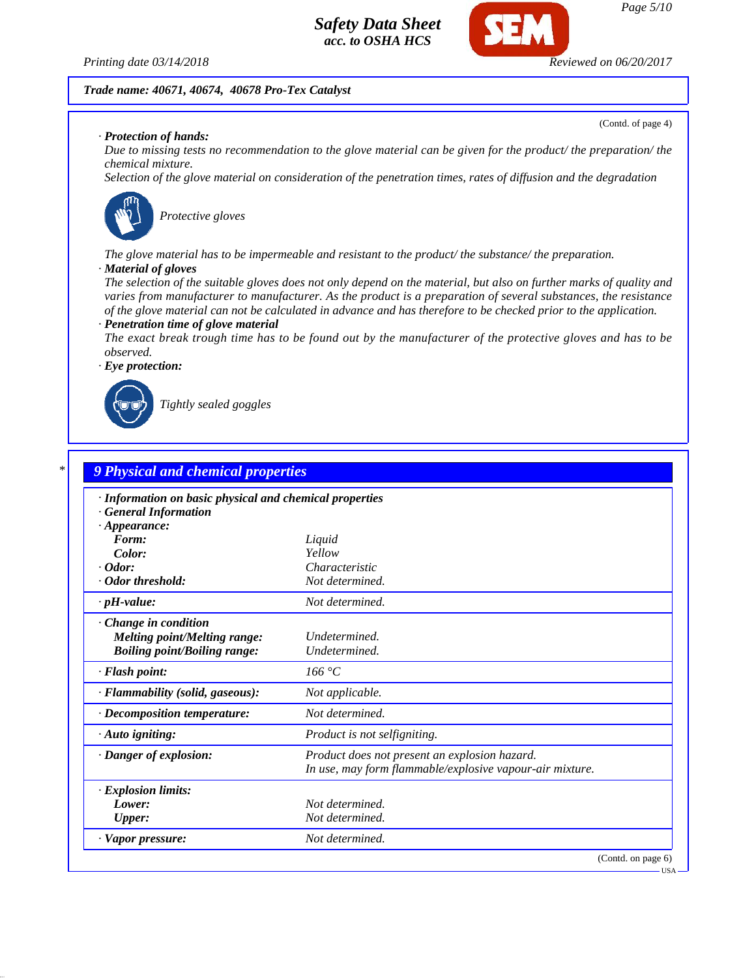

#### *Trade name: 40671, 40674, 40678 Pro-Tex Catalyst*

*· Protection of hands:*

*Due to missing tests no recommendation to the glove material can be given for the product/ the preparation/ the chemical mixture.*

*Selection of the glove material on consideration of the penetration times, rates of diffusion and the degradation*



*Protective gloves*

*The glove material has to be impermeable and resistant to the product/ the substance/ the preparation.*

#### *· Material of gloves*

*The selection of the suitable gloves does not only depend on the material, but also on further marks of quality and varies from manufacturer to manufacturer. As the product is a preparation of several substances, the resistance of the glove material can not be calculated in advance and has therefore to be checked prior to the application. · Penetration time of glove material*

*The exact break trough time has to be found out by the manufacturer of the protective gloves and has to be observed.*

*· Eye protection:*



*Tightly sealed goggles*

| · Information on basic physical and chemical properties |                                                          |
|---------------------------------------------------------|----------------------------------------------------------|
| <b>General Information</b>                              |                                                          |
| $\cdot$ Appearance:                                     |                                                          |
| Form:                                                   | Liquid                                                   |
| Color:                                                  | Yellow                                                   |
| $\cdot$ Odor:                                           | Characteristic                                           |
| · Odor threshold:                                       | Not determined.                                          |
| $\cdot$ pH-value:                                       | Not determined.                                          |
| · Change in condition                                   |                                                          |
| <b>Melting point/Melting range:</b>                     | Undetermined.                                            |
| <b>Boiling point/Boiling range:</b>                     | Undetermined.                                            |
| · Flash point:                                          | 166 °C                                                   |
| · Flammability (solid, gaseous):                        | Not applicable.                                          |
| $\cdot$ Decomposition temperature:                      | Not determined.                                          |
| $\cdot$ Auto igniting:                                  | Product is not selfigniting.                             |
| · Danger of explosion:                                  | Product does not present an explosion hazard.            |
|                                                         | In use, may form flammable/explosive vapour-air mixture. |
| · Explosion limits:                                     |                                                          |
| Lower:                                                  | Not determined.                                          |
| <b>Upper:</b>                                           | Not determined.                                          |
| · Vapor pressure:                                       | Not determined.                                          |

(Contd. of page 4)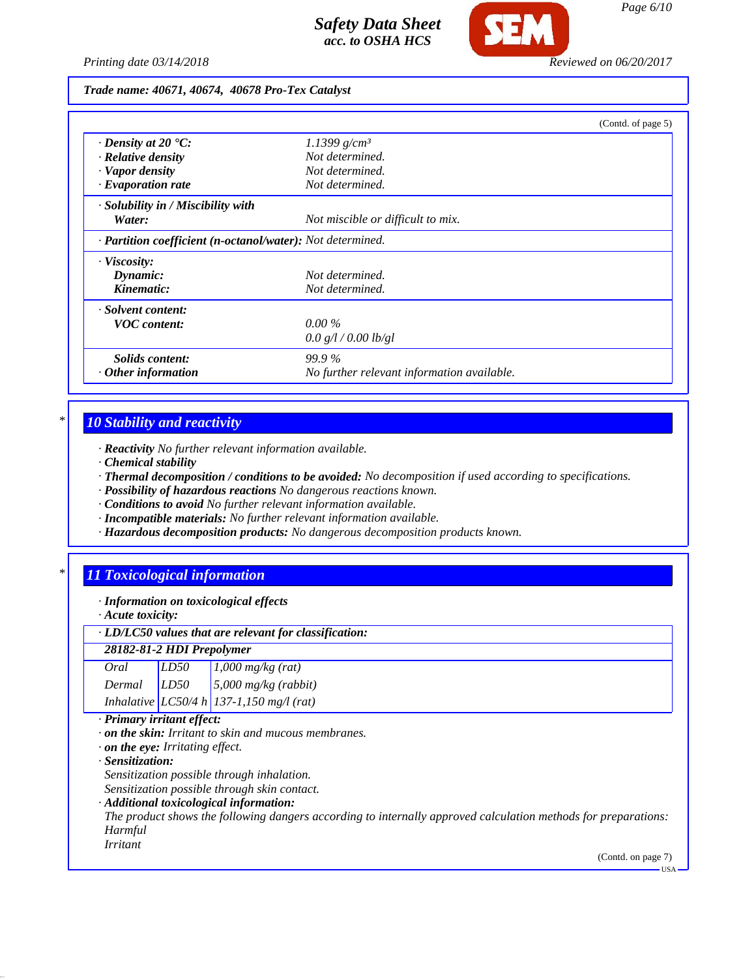

*Printing date 03/14/2018 Reviewed on 06/20/2017*

### *Trade name: 40671, 40674, 40678 Pro-Tex Catalyst*

|                                                            |                                            | (Contd. of page 5) |
|------------------------------------------------------------|--------------------------------------------|--------------------|
| $\cdot$ Density at 20 $\cdot$ C:                           | 1.1399 g/cm <sup>3</sup>                   |                    |
| $\cdot$ Relative density                                   | Not determined.                            |                    |
| · Vapor density                                            | Not determined.                            |                    |
| $\cdot$ Evaporation rate                                   | Not determined.                            |                    |
| · Solubility in / Miscibility with                         |                                            |                    |
| Water:                                                     | Not miscible or difficult to mix.          |                    |
| · Partition coefficient (n-octanol/water): Not determined. |                                            |                    |
| $\cdot$ Viscosity:                                         |                                            |                    |
| Dynamic:                                                   | Not determined.                            |                    |
| Kinematic:                                                 | Not determined.                            |                    |
| · Solvent content:                                         |                                            |                    |
| <b>VOC</b> content:                                        | $0.00\%$                                   |                    |
|                                                            | 0.0 g/l / 0.00 lb/gl                       |                    |
| Solids content:                                            | <b>99.9%</b>                               |                    |
| $\cdot$ Other information                                  | No further relevant information available. |                    |

## *\* 10 Stability and reactivity*

- *· Reactivity No further relevant information available.*
- *· Chemical stability*
- *· Thermal decomposition / conditions to be avoided: No decomposition if used according to specifications.*
- *· Possibility of hazardous reactions No dangerous reactions known.*
- *· Conditions to avoid No further relevant information available.*
- *· Incompatible materials: No further relevant information available.*
- *· Hazardous decomposition products: No dangerous decomposition products known.*

## *\* 11 Toxicological information*

- *· Information on toxicological effects*
- *· Acute toxicity:*

## *· LD/LC50 values that are relevant for classification:*

| 28182-81-2 HDI Prepolymer |      |                                          |
|---------------------------|------|------------------------------------------|
| Oral                      | LD50 | $1,000$ mg/kg (rat)                      |
| $Dermal$ $LD50$           |      | $5,000$ mg/kg (rabbit)                   |
|                           |      | Inhalative LC50/4 h 137-1,150 mg/l (rat) |

### *· Primary irritant effect:*

- *· on the skin: Irritant to skin and mucous membranes.*
- *· on the eye: Irritating effect.*
- *· Sensitization:*

*Sensitization possible through inhalation.*

- *Sensitization possible through skin contact.*
- *· Additional toxicological information:*
- *The product shows the following dangers according to internally approved calculation methods for preparations: Harmful Irritant*

(Contd. on page 7)

 $-<sub>USA</sub>$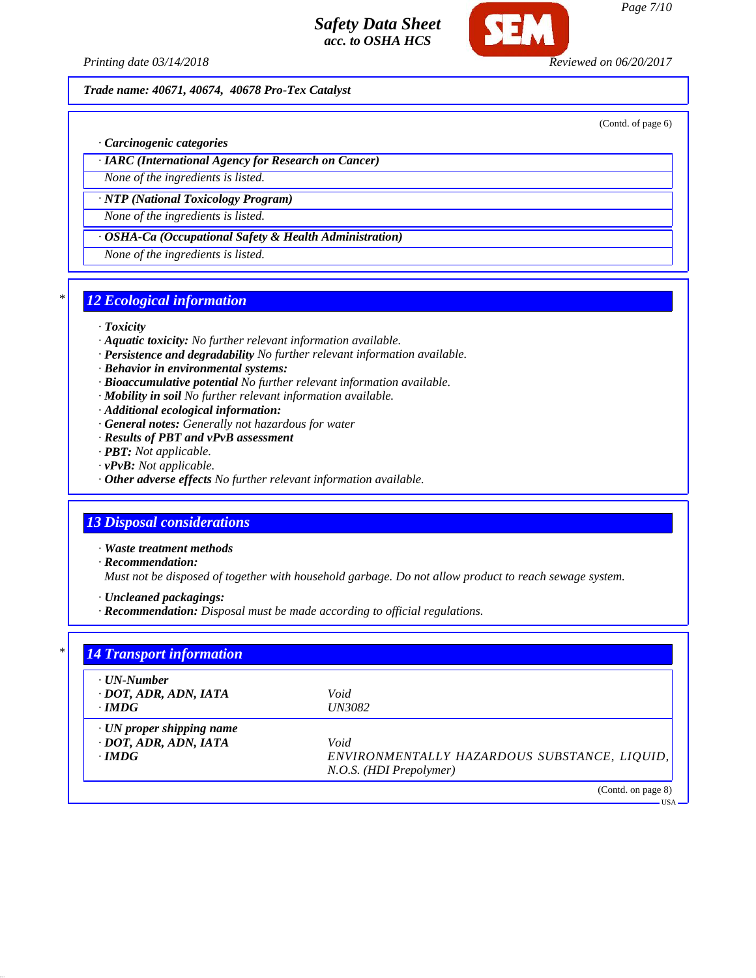

*Printing date 03/14/2018 Reviewed on 06/20/2017*

## *Trade name: 40671, 40674, 40678 Pro-Tex Catalyst*

(Contd. of page 6)

*Page 7/10*

*· Carcinogenic categories*

*· IARC (International Agency for Research on Cancer)*

*None of the ingredients is listed.*

*· NTP (National Toxicology Program)*

*None of the ingredients is listed.*

*· OSHA-Ca (Occupational Safety & Health Administration)*

*None of the ingredients is listed.*

## *\* 12 Ecological information*

### *· Toxicity*

- *· Aquatic toxicity: No further relevant information available.*
- *· Persistence and degradability No further relevant information available.*
- *· Behavior in environmental systems:*
- *· Bioaccumulative potential No further relevant information available.*
- *· Mobility in soil No further relevant information available.*
- *· Additional ecological information:*
- *· General notes: Generally not hazardous for water*
- *· Results of PBT and vPvB assessment*
- *· PBT: Not applicable.*
- *· vPvB: Not applicable.*
- *· Other adverse effects No further relevant information available.*

# *13 Disposal considerations*

- *· Waste treatment methods*
- *· Recommendation:*

*Must not be disposed of together with household garbage. Do not allow product to reach sewage system.*

*· Uncleaned packagings:*

*· Recommendation: Disposal must be made according to official regulations.*

| · UN-Number                     |                                              |
|---------------------------------|----------------------------------------------|
| $\cdot$ DOT, ADR, ADN, IATA     | Void                                         |
| $\cdot$ IMDG                    | <b>UN3082</b>                                |
| $\cdot$ UN proper shipping name |                                              |
| $\cdot$ DOT, ADR, ADN, IATA     | Void                                         |
| $\cdot$ IMDG                    | ENVIRONMENTALLY HAZARDOUS SUBSTANCE, LIQUID, |
|                                 | N.O.S. (HDI Prepolymer)                      |

USA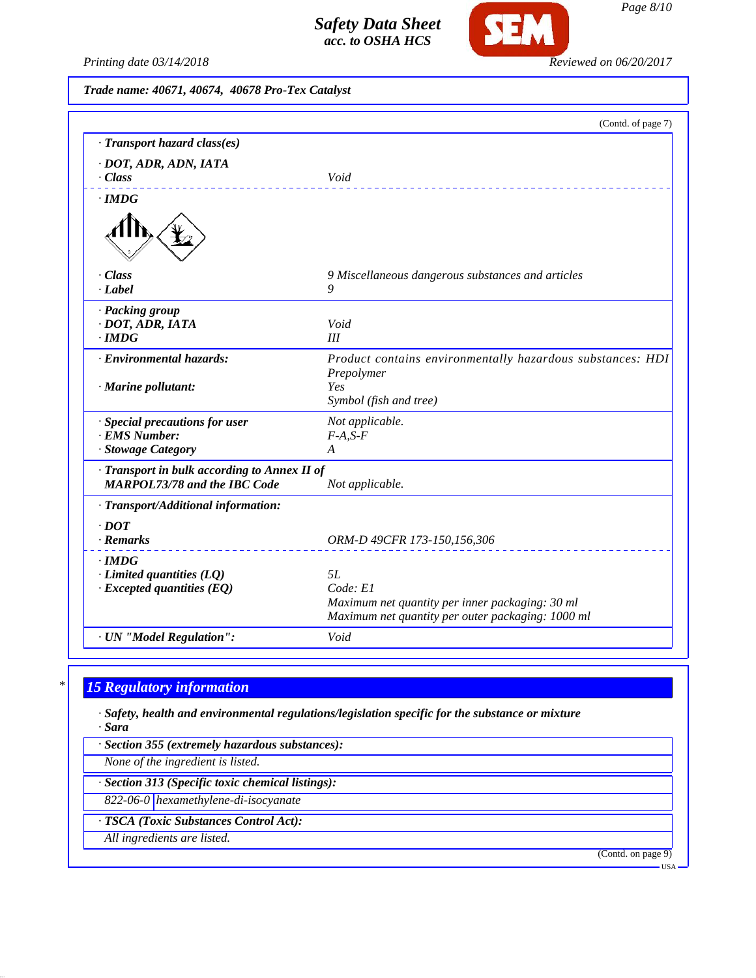

*Printing date 03/14/2018 Reviewed on 06/20/2017*

*Trade name: 40671, 40674, 40678 Pro-Tex Catalyst*

|                                              | (Contd. of page 7)                                         |
|----------------------------------------------|------------------------------------------------------------|
| · Transport hazard class(es)                 |                                                            |
| · DOT, ADR, ADN, IATA                        |                                                            |
| · Class                                      | Void                                                       |
| $\cdot$ IMDG                                 |                                                            |
|                                              |                                                            |
| · Class                                      | 9 Miscellaneous dangerous substances and articles          |
| · Label                                      | 9                                                          |
| · Packing group                              |                                                            |
| $\cdot$ DOT, ADR, IATA                       | Void                                                       |
| $\cdot$ IMDG                                 | III                                                        |
| · Environmental hazards:                     | Product contains environmentally hazardous substances: HDI |
|                                              | Prepolymer<br>Yes                                          |
| $\cdot$ Marine pollutant:                    | Symbol (fish and tree)                                     |
| · Special precautions for user               | Not applicable.                                            |
| · EMS Number:                                | $F-A, S-F$                                                 |
| · Stowage Category                           | A                                                          |
| · Transport in bulk according to Annex II of |                                                            |
| <b>MARPOL73/78 and the IBC Code</b>          | Not applicable.                                            |
| · Transport/Additional information:          |                                                            |
| $\cdot$ <i>DOT</i>                           |                                                            |
| · Remarks                                    | ORM-D 49CFR 173-150,156,306                                |
| $\cdot$ IMDG                                 |                                                            |
| $\cdot$ Limited quantities (LQ)              | 5L                                                         |
| $\cdot$ Excepted quantities (EQ)             | Code: El                                                   |
|                                              | Maximum net quantity per inner packaging: 30 ml            |
|                                              | Maximum net quantity per outer packaging: 1000 ml          |
| · UN "Model Regulation":                     | Void                                                       |

# *\* 15 Regulatory information*

*· Safety, health and environmental regulations/legislation specific for the substance or mixture · Sara*

*· Section 355 (extremely hazardous substances):*

*None of the ingredient is listed.*

*· Section 313 (Specific toxic chemical listings):*

*822-06-0 hexamethylene-di-isocyanate*

*· TSCA (Toxic Substances Control Act):*

*All ingredients are listed.*

(Contd. on page 9)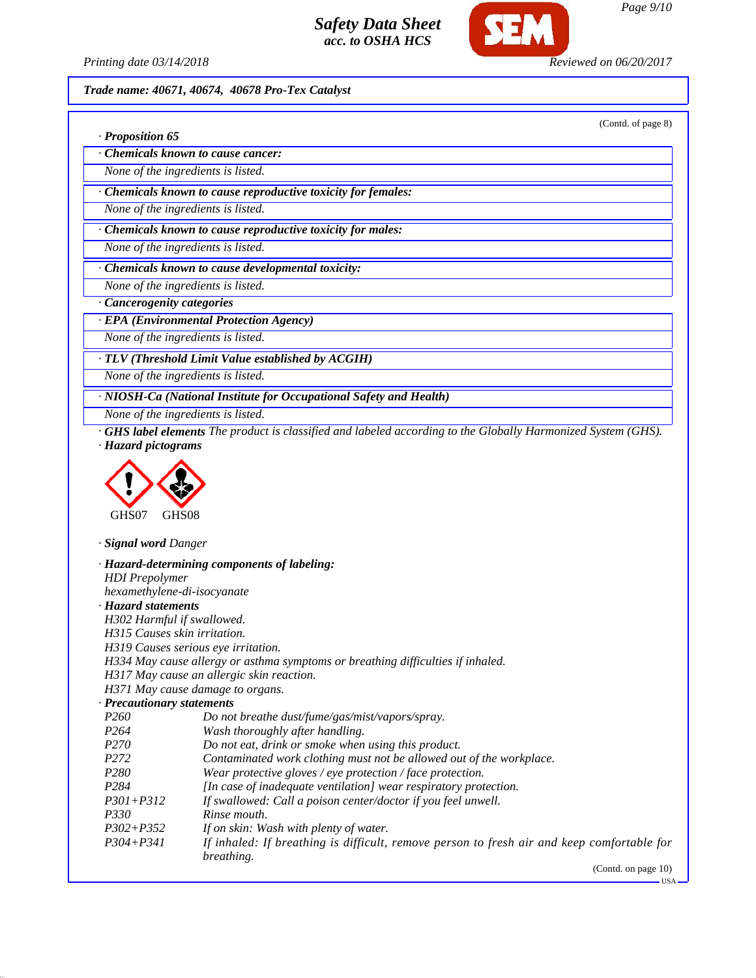

*Printing date 03/14/2018 Reviewed on 06/20/2017*

*Trade name: 40671, 40674, 40678 Pro-Tex Catalyst*

(Contd. of page 8)

|  |  | · Proposition 65 |  |
|--|--|------------------|--|
|--|--|------------------|--|

*· Chemicals known to cause cancer:*

*None of the ingredients is listed.*

*· Chemicals known to cause reproductive toxicity for females:*

*None of the ingredients is listed.*

*· Chemicals known to cause reproductive toxicity for males:*

*None of the ingredients is listed.*

*· Chemicals known to cause developmental toxicity:*

*None of the ingredients is listed.*

*· Cancerogenity categories*

*· EPA (Environmental Protection Agency)*

*None of the ingredients is listed.*

*· TLV (Threshold Limit Value established by ACGIH)*

*None of the ingredients is listed.*

*· NIOSH-Ca (National Institute for Occupational Safety and Health)*

*None of the ingredients is listed.*

*· GHS label elements The product is classified and labeled according to the Globally Harmonized System (GHS). · Hazard pictograms*



*· Signal word Danger*

*· Hazard-determining components of labeling: HDI Prepolymer hexamethylene-di-isocyanate · Hazard statements H302 Harmful if swallowed. H315 Causes skin irritation. H319 Causes serious eye irritation. H334 May cause allergy or asthma symptoms or breathing difficulties if inhaled. H317 May cause an allergic skin reaction. H371 May cause damage to organs. · Precautionary statements P260 Do not breathe dust/fume/gas/mist/vapors/spray. P264 Wash thoroughly after handling. P270 Do not eat, drink or smoke when using this product. P272 Contaminated work clothing must not be allowed out of the workplace. P280 Wear protective gloves / eye protection / face protection. P284 [In case of inadequate ventilation] wear respiratory protection. P301+P312 If swallowed: Call a poison center/doctor if you feel unwell. P330 Rinse mouth. P302+P352 If on skin: Wash with plenty of water. P304+P341 If inhaled: If breathing is difficult, remove person to fresh air and keep comfortable for breathing.*

(Contd. on page 10)

USA